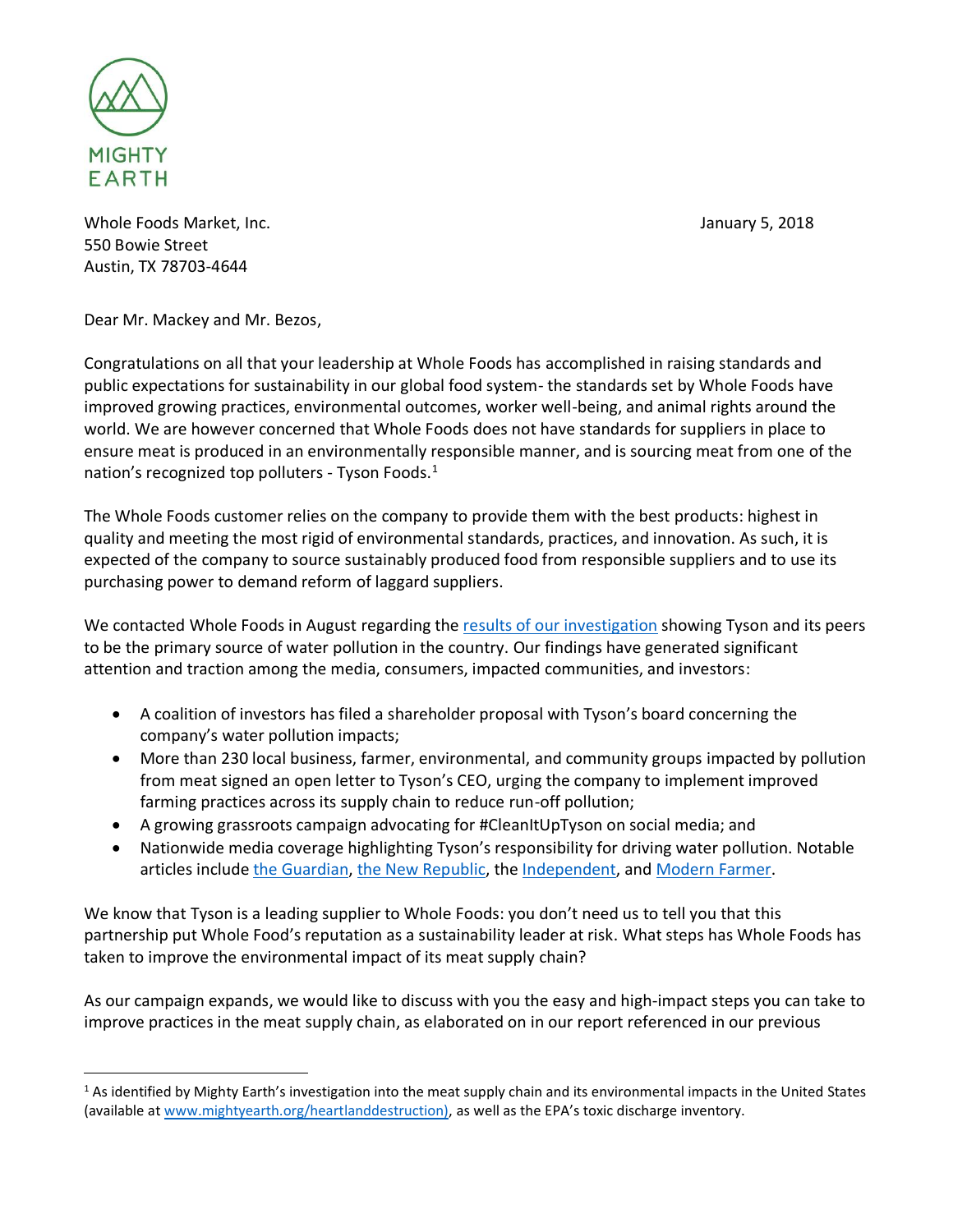

 $\overline{a}$ 

Whole Foods Market, Inc. **January 5, 2018** 550 Bowie Street Austin, TX 78703-4644

Dear Mr. Mackey and Mr. Bezos,

Congratulations on all that your leadership at Whole Foods has accomplished in raising standards and public expectations for sustainability in our global food system- the standards set by Whole Foods have improved growing practices, environmental outcomes, worker well-being, and animal rights around the world. We are however concerned that Whole Foods does not have standards for suppliers in place to ensure meat is produced in an environmentally responsible manner, and is sourcing meat from one of the nation's recognized top polluters - Tyson Foods.<sup>1</sup>

The Whole Foods customer relies on the company to provide them with the best products: highest in quality and meeting the most rigid of environmental standards, practices, and innovation. As such, it is expected of the company to source sustainably produced food from responsible suppliers and to use its purchasing power to demand reform of laggard suppliers.

We contacted Whole Foods in August regarding the [results of our investigation](http://www.mightyearth.org/heartlanddestruction) showing Tyson and its peers to be the primary source of water pollution in the country. Our findings have generated significant attention and traction among the media, consumers, impacted communities, and investors:

- A coalition of investors has filed a shareholder proposal with Tyson's board concerning the company's water pollution impacts;
- More than 230 local business, farmer, environmental, and community groups impacted by pollution from meat signed an open letter to Tyson's CEO, urging the company to implement improved farming practices across its supply chain to reduce run-off pollution;
- A growing grassroots campaign advocating for #CleanItUpTyson on social media; and
- Nationwide media coverage highlighting Tyson's responsibility for driving water pollution. Notable articles include [the Guardian,](https://www.theguardian.com/environment/2017/aug/01/meat-industry-dead-zone-gulf-of-mexico-environment-pollution) [the New Republic,](https://newrepublic.com/article/146195/overlooked-environmental-crisis-2017) the [Independent,](http://www.independent.co.uk/environment/pollution-polluted-sea-oceans-dead-zone-bigger-than-wales-gulf-of-mexico-8776-square-miles-meat-a7877506.html) and [Modern Farmer.](http://modernfarmer.com/2017/08/tyson-meat-companies-linked-biggest-ever-dead-zone-gulf/)

We know that Tyson is a leading supplier to Whole Foods: you don't need us to tell you that this partnership put Whole Food's reputation as a sustainability leader at risk. What steps has Whole Foods has taken to improve the environmental impact of its meat supply chain?

As our campaign expands, we would like to discuss with you the easy and high-impact steps you can take to improve practices in the meat supply chain, as elaborated on in our report referenced in our previous

 $1$  As identified by Mighty Earth's investigation into the meat supply chain and its environmental impacts in the United States (available a[t www.mightyearth.org/heartlanddestruction\)](http://www.mightyearth.org/heartlanddestruction)), as well as the EPA's toxic discharge inventory.